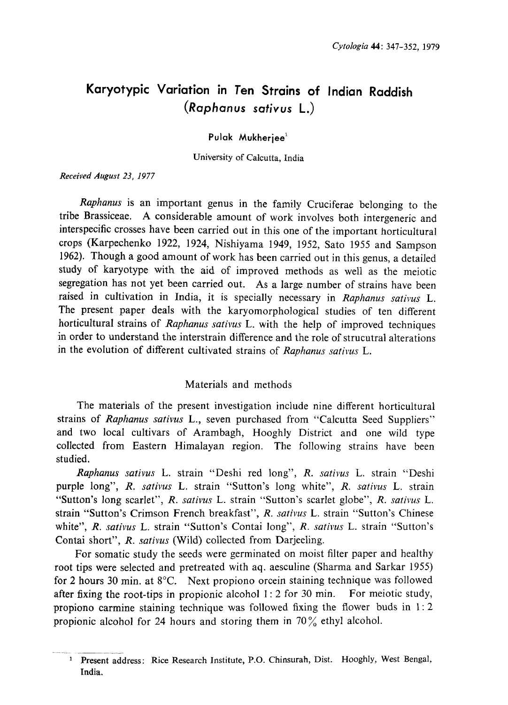# Karyotypic Variation in Ten Strains of Indian Raddish (Raphanus sativus L.)

Pulak Mukherjee<sup>1</sup>

University of Calcutta, India

Received August 23, 1977

Raphanus is an important genus in the family Cruciferae belonging to the tribe Brassiceae. A considerable amount of work involves both intergeneric and interspecific crosses have been carried out in this one of the important horticultural crops (Karpechenko 1922, 1924, Nishiyama 1949, 1952, Sato 1955 and Sampson 1962). Though a good amount of work has been carried out in this genus , a detailed study of karyotype with the aid of improved methods as well as the meiotic segregation has not yet been carried out. As a large number of strains have been raised in cultivation in India, it is specially necessary in Raphanus sativus L. The present paper deals with the karyomorphological studies of ten different horticultural strains of Raphanus sativus L, with the help of improved techniques in order to understand the interstrain difference and the role of strucutral alterations in the evolution of different cultivated strains of Raphanus sativus L.

# Materials and methods

The materials of the present investigation include nine different horticultural strains of Raphanus sativus L., seven purchased from "Calcutta Seed Suppliers" and two local cultivars of Arambagh, Hooghly District and one wild type collected from Eastern Himalayan region. The following strains have been studied.

Raphanus sativus L. strain "Deshi red long", R. sativus L. strain "Deshi purple long", R. sativus L. strain "Sutton's long white", R. sativus L. strain "Sutton's long scarlet", R. sativus L. strain "Sutton's scarlet globe", R. sativus L. strain "Sutton's Crimson French breakfast", R. sativus L. strain "Sutton's Chinese white", R. sativus L. strain "Sutton's Contai long", R. sativus L. strain "Sutton's Contai short", R. sativus (Wild) collected from Darjeeling.

For somatic study the seeds were germinated on moist filter paper and healthy root tips were selected and pretreated with aq. aesculine (Sharma and Sarkar 1955) for 2 hours 30 min. at  $8^{\circ}$ C. Next propiono orcein staining technique was followed after fixing the root-tips in propionic alcohol  $1:2$  for 30 min. For meiotic study, propiono carmine staining technique was followed fixing the flower buds in 1:2 propionic alcohol for 24 hours and storing them in  $70\%$  ethyl alcohol.

<sup>&</sup>lt;sup>1</sup> Present address: Rice Research Institute, P.O. Chinsurah, Dist. Hooghly, West Benga India.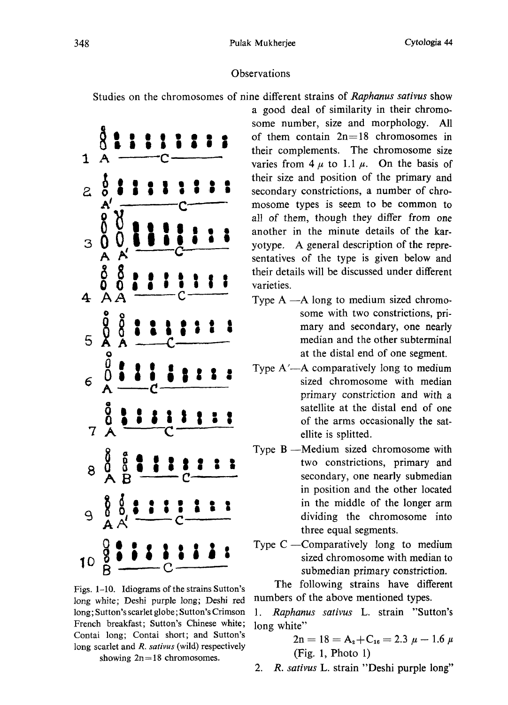## Observations

Studies on the chromosomes of nine different strains of Raphanus sativus show

 $\mathbf{1}$ 2 3 À  $\overline{5}$  $\frac{8}{9}$ **POOP** 10

Figs. 1-10. Idiograms of the strains Sutton's long white; Deshi purple long; Deshi red long; Sutton's scarlet globe; Sutton's Crimson French breakfast; Sutton's Chinese white; Contai long; Contai short; and Sutton's long scarlet and  $R$ . sativus (wild) respectively

showing  $2n=18$  chromosomes.

a good deal of similarity in their chromo some number, size and morphology. All of them contain  $2n=18$  chromosomes in their complements. The chromosome size varies from  $4 \mu$  to 1.1  $\mu$ . On the basis of their size and position of the primary and secondary constrictions, a number of chro mosome types is seem to be common to all of them, though they differ from one another in the minute details of the kar yotype. A general description of the repre sentatives of the type is given below and their details will be discussed under different varieties.

- Type  $A A$  long to medium sized chromosome with two constrictions, pri mary and secondary, one nearly median and the other subterminal at the distal end of one segment.
- Type  $A'$ —A comparatively long to medium sized chromosome with median primary constriction and with a satellite at the distal end of one of the arms occasionally the sat ellite is splitted.
- Type  $B$  —Medium sized chromosome with two constrictions, primary and secondary, one nearly submedian in position and the other located in the middle of the longer arm dividing the chromosome into three equal segments.
- Type  $C$  -Comparatively long to medium sized chromosome with median to submedian primary constriction.

The following strains have different numbers of the above mentioned types.

1. Raphanus sativus L. strain "Sutton's long white"

$$
2n = 18 = A_2 + C_{16} = 2.3 \mu - 1.6 \mu
$$
  
(Fig. 1, Photo 1)

2. R. sativus L. strain "Deshi purple long"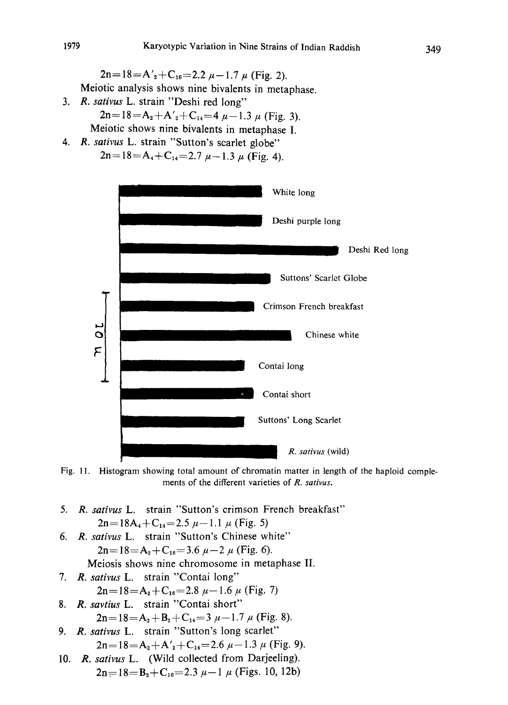$2n=18=A'_2+C_{16}=2.2 \mu-1.7 \mu$  (Fig. 2).

Meiotic analysis shows nine bivalents in metaphase .

- 3. R. sativus L. strain "Deshi red long"  $2n=18=A_2+A'_2+C_{14}=4\mu-1.3\mu$  (Fig. 3). Meiotic shows nine bivalents in metaphase I.
- 4. R. sativus L. strain "Sutton's scarlet globe"  $2n=18=A_4+C_{14}=2.7 \mu-1.3 \mu$  (Fig. 4).



Fig. 11. Histogram showing total amount of chromatin matter in length of the haploid comple ments of the different varieties of R. sativus.

- 5. R. sativus L. strain "Sutton's crimson French breakfast"  $2n=18A_4+C_{14}=2.5 \mu-1.1 \mu$  (Fig. 5)
- 6. R. sativus L. strain "Sutton's Chinese white"  $2n=18=A_2+C_{16}=3.6 \mu-2 \mu$  (Fig. 6).
- Meiosis shows nine chromosome in metaphase II. 7. R. sativus L. strain "Contai long"
	- $2n=18=A_2+C_{16}=2.8 \mu-1.6 \mu$  (Fig. 7)
- 8. R. savtius L. strain "Contai short"  $2n=18=A_2+B_2+C_{14}=3 \mu-1.7 \mu$  (Fig. 8).
- 9. R. sativus L. strain "Sutton's long scarlet"  $2n=18=A_2+A'_2+C_{14}=2.6 \mu-1.3 \mu$  (Fig. 9).
- 10. R. sativus L. (Wild collected from Darjeeling).  $2n=18=B_2+C_{16}=2.3 \mu-1 \mu$  (Figs. 10, 12b)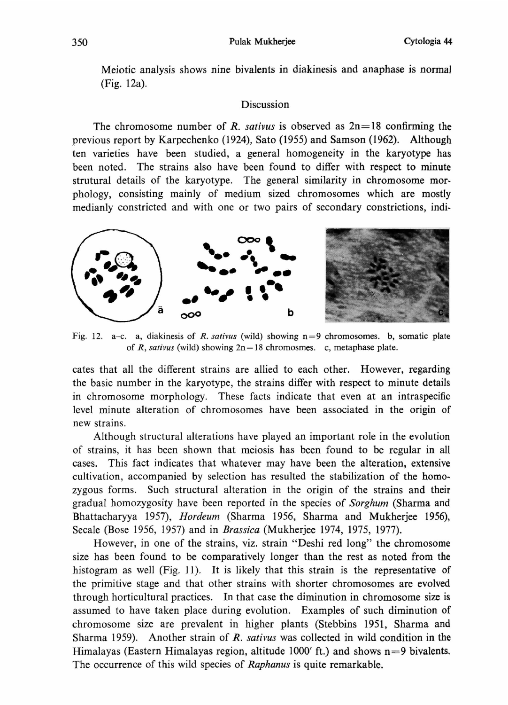Meiotic analysis shows nine bivalents in diakinesis and anaphase is normal (Fig. 12a).

## Discussion

The chromosome number of R. sativus is observed as  $2n=18$  confirming the previous report by Karpechenko (1924), Sato (1955) and Samson (1962). Although ten varieties have been studied, a general homogeneity in the karyotype has been noted. The strains also have been found to differ with respect to minute strutural details of the karyotype. The general similarity in chromosome mor phology, consisting mainly of medium sized chromosomes which are mostly medianly constricted and with one or two pairs of secondary constrictions, indi



Fig. 12. a-c. a, diakinesis of R. sativus (wild) showing  $n=9$  chromosomes. b, somatic plate of R, sativus (wild) showing  $2n=18$  chromosmes. c, metaphase plate.

cates that all the different strains are allied to each other. However, regarding the basic number in the karyotype, the strains differ with respect to minute details in chromosome morphology. These facts indicate that even at an intraspecific level minute alteration of chromosomes have been associated in the origin of new strains.

Although structural alterations have played an important role in the evolution of strains, it has been shown that meiosis has been found to be regular in all cases. This fact indicates that whatever may have been the alteration, extensive cultivation, accompanied by selection has resulted the stabilization of the homo zygous forms. Such structural alteration in the origin of the strains and their gradual homozygosity have been reported in the species of Sorghum (Sharma and Bhattacharyya 1957), Hordeum (Sharma 1956, Sharma and Mukherjee 1956), Secale (Bose 1956, 1957) and in Brassica (Mukherjee 1974, 1975, 1977).

However, in one of the strains, viz. strain "Deshi red long" the chromosome size has been found to be comparatively longer than the rest as noted from the histogram as well (Fig, 11). It is likely that this strain is the representative of the primitive stage and that other strains with shorter chromosomes are evolved through horticultural practices. In that case the diminution in chromosome size is assumed to have taken place during evolution. Examples of such diminution of chromosome size are prevalent in higher plants (Stebbins 1951, Sharma and Sharma 1959). Another strain of  $R$ . sativus was collected in wild condition in the Himalayas (Eastern Himalayas region, altitude 1000 $\prime$  ft.) and shows n=9 bivalents. The occurrence of this wild species of Raphanus is quite remarkable.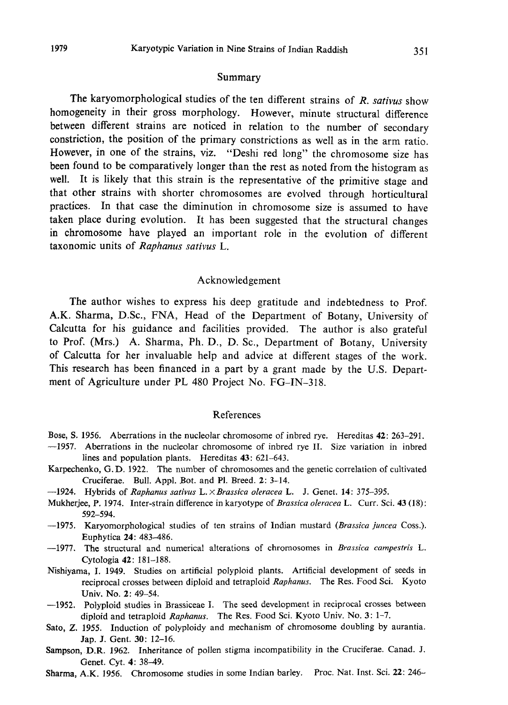#### Summary

The karyomorphological studies of the ten different strains of  $R$ . sativus show homogeneity in their gross morphology. However, minute structural difference between different strains are noticed in relation to the number of secondary constriction, the position of the primary constrictions as well as in the arm ratio . However, in one of the strains, viz. "Deshi red long" the chromosome size has been found to be comparatively longer than the rest as noted from the histogram as well. It is likely that this strain is the representative of the primitive stage and that other strains with shorter chromosomes are evolved through horticultural practices. In that case the diminution in chromosome size is assumed to have taken place during evolution. It has been suggested that the structural changes in chromosome have played an important role in the evolution of different taxonomic units of Raphanus sativus L.

#### Acknowledgement

The author wishes to express his deep gratitude and indebtedness to Prof. A.K. Sharma, D.Sc., FNA, Head of the Department of Botany, University of Calcutta for his guidance and facilities provided. The author is also grateful to Prof. (Mrs.) A. Sharma, Ph. D., D. Sc., Department of Botany, University of Calcutta for her invaluable help and advice at different stages of the work. This research has been financed in a part by a grant made by the U.S. Department of Agriculture under PL 480 Project No. FG-IN-318.

### References

- Bose, S. 1956. Aberrations in the nucleolar chromosome of inbred rye. Hereditas 42: 263-291.
- $-1957$ . Aberrations in the nucleolar chromosome of inbred rye II. Size variation in inbr lines and population plants. Hereditas 43: 621-643.
- Karpechenko, G. D. 1922. The number of chromosomes and the genetic correlation of cultivated Cruciferae. Bull. Appl. Bot. and Pl. Breed. 2: 3-14.
- $-1924$ . Hybrids of Raphanus sativus L.  $\times$  Brassica oleracea L. J. Genet. 14: 375-3
- Mukherjee, P. 1974. Inter-strain difference in karyotype of Brassica oleracea L. Curr. Sci. 43 (18): 592-594.
- -1975. Karyomorphological studies of ten strains of Indian mustard (*Brassica juncea* Cos Euphytica 24: 483-486.
- -1977. The structural and numerical alterations of chromosomes in *Brassica campestris* L. Cytologia 42: 181-188.
- Nishiyama, I. 1949. Studies on artificial polyploid plants. Artificial development of seeds in reciprocal crosses between diploid and tetraploid Raphanus. The Res. Food Sci. Kyoto Univ. No. 2: 49-54.
- $-1952$ . Polyploid studies in Brassiceae I. The seed development in reciprocal crosses betw diploid and tetraploid Raphanus. The Res. Food Sci. Kyoto Univ. No. 3: 1-7.
- Sato, Z. 1955. Induction of polyploidy and mechanism of chromosome doubling by aurantia. Jap. J. Gent. 30: 12-16.
- Sampson, D.R. 1962. Inheritance of pollen stigma incompatibility in the Cruciferae. Canad. J. Genet. Cyt. 4: 38-49.
- Sharma, A.K. 1956. Chromosome studies in some Indian barley. Proc. Nat. Inst. Sci. 22: 246-